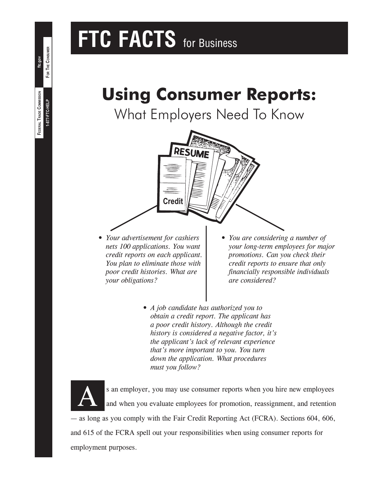# **Using Consumer Reports:**

What Employers Need To Know



• *Your advertisement for cashiers nets 100 applications. You want credit reports on each applicant. You plan to eliminate those with poor credit histories. What are your obligations?*

• *You are considering a number of your long-term employees for major promotions. Can you check their credit reports to ensure that only financially responsible individuals are considered?*

• *A job candidate has authorized you to obtain a credit report. The applicant has a poor credit history. Although the credit history is considered a negative factor, it's the applicant's lack of relevant experience that's more important to you. You turn down the application. What procedures must you follow?*



s an employer, you may use consumer reports when you hire new employees and when you evaluate employees for promotion, reassignment, and retention

— as long as you comply with the Fair Credit Reporting Act (FCRA). Sections 604, 606, and 615 of the FCRA spell out your responsibilities when using consumer reports for employment purposes.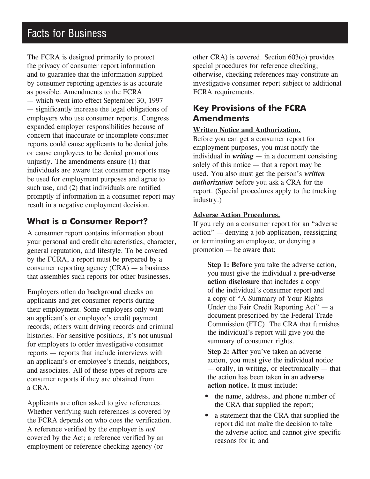# Facts for Business Facts for Business

The FCRA is designed primarily to protect the privacy of consumer report information and to guarantee that the information supplied by consumer reporting agencies is as accurate as possible. Amendments to the FCRA — which went into effect September 30, 1997 — significantly increase the legal obligations of employers who use consumer reports. Congress expanded employer responsibilities because of concern that inaccurate or incomplete consumer reports could cause applicants to be denied jobs or cause employees to be denied promotions unjustly. The amendments ensure (1) that individuals are aware that consumer reports may be used for employment purposes and agree to such use, and (2) that individuals are notified promptly if information in a consumer report may result in a negative employment decision.

# **What is a Consumer Report?**

A consumer report contains information about your personal and credit characteristics, character, general reputation, and lifestyle. To be covered by the FCRA, a report must be prepared by a consumer reporting agency  $(CRA)$  — a business that assembles such reports for other businesses.

Employers often do background checks on applicants and get consumer reports during their employment. Some employers only want an applicant's or employee's credit payment records; others want driving records and criminal histories. For sensitive positions, it's not unusual for employers to order investigative consumer reports — reports that include interviews with an applicant's or employee's friends, neighbors, and associates. All of these types of reports are consumer reports if they are obtained from a CRA.

Applicants are often asked to give references. Whether verifying such references is covered by the FCRA depends on who does the verification. A reference verified by the employer is *not* covered by the Act; a reference verified by an employment or reference checking agency (or

other CRA) is covered. Section 603(o) provides special procedures for reference checking; otherwise, checking references may constitute an investigative consumer report subject to additional FCRA requirements.

## **Key Provisions of the FCRA Amendments**

#### **Written Notice and Authorization.**

Before you can get a consumer report for employment purposes, you must notify the individual in *writing* — in a document consisting solely of this notice — that a report may be used. You also must get the person's *written authorization* before you ask a CRA for the report. (Special procedures apply to the trucking industry.)

#### **Adverse Action Procedures.**

If you rely on a consumer report for an "adverse action" — denying a job application, reassigning or terminating an employee, or denying a promotion — be aware that:

**Step 1: Before** you take the adverse action, you must give the individual a **pre-adverse action disclosure** that includes a copy of the individual's consumer report and a copy of "A Summary of Your Rights Under the Fair Credit Reporting  $Act" - a$ document prescribed by the Federal Trade Commission (FTC). The CRA that furnishes the individual's report will give you the summary of consumer rights.

**Step 2: After** you've taken an adverse action, you must give the individual notice — orally, in writing, or electronically — that the action has been taken in an **adverse action notice.** It must include:

- the name, address, and phone number of the CRA that supplied the report;
- a statement that the CRA that supplied the report did not make the decision to take the adverse action and cannot give specific reasons for it; and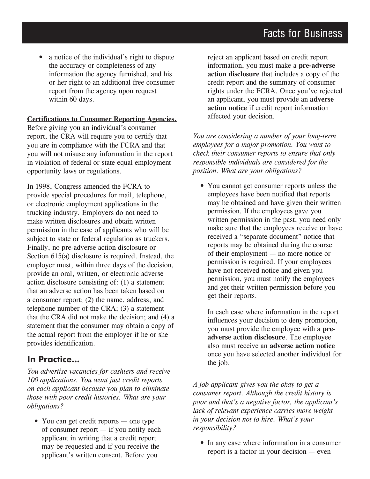a notice of the individual's right to dispute the accuracy or completeness of any information the agency furnished, and his or her right to an additional free consumer report from the agency upon request within 60 days.

#### **Certifications to Consumer Reporting Agencies.**

Before giving you an individual's consumer report, the CRA will require you to certify that you are in compliance with the FCRA and that you will not misuse any information in the report in violation of federal or state equal employment opportunity laws or regulations.

In 1998, Congress amended the FCRA to provide special procedures for mail, telephone, or electronic employment applications in the trucking industry. Employers do not need to make written disclosures and obtain written permission in the case of applicants who will be subject to state or federal regulation as truckers. Finally, no pre-adverse action disclosure or Section 615(a) disclosure is required. Instead, the employer must, within three days of the decision, provide an oral, written, or electronic adverse action disclosure consisting of: (1) a statement that an adverse action has been taken based on a consumer report; (2) the name, address, and telephone number of the CRA; (3) a statement that the CRA did not make the decision; and (4) a statement that the consumer may obtain a copy of the actual report from the employer if he or she provides identification.

### **In Practice...**

*You advertise vacancies for cashiers and receive 100 applications. You want just credit reports on each applicant because you plan to eliminate those with poor credit histories. What are your obligations?*

• You can get credit reports — one type of consumer report — if you notify each applicant in writing that a credit report may be requested and if you receive the applicant's written consent. Before you

reject an applicant based on credit report information, you must make a **pre-adverse action disclosure** that includes a copy of the credit report and the summary of consumer rights under the FCRA. Once you've rejected an applicant, you must provide an **adverse action notice** if credit report information affected your decision.

*You are considering a number of your long-term employees for a major promotion. You want to check their consumer reports to ensure that only responsible individuals are considered for the position. What are your obligations?*

• You cannot get consumer reports unless the employees have been notified that reports may be obtained and have given their written permission. If the employees gave you written permission in the past, you need only make sure that the employees receive or have received a "separate document" notice that reports may be obtained during the course of their employment — no more notice or permission is required. If your employees have not received notice and given you permission, you must notify the employees and get their written permission before you get their reports.

In each case where information in the report influences your decision to deny promotion, you must provide the employee with a **preadverse action disclosure**. The employee also must receive an **adverse action notice** once you have selected another individual for the job.

*A job applicant gives you the okay to get a consumer report. Although the credit history is poor and that's a negative factor, the applicant's lack of relevant experience carries more weight in your decision not to hire. What's your responsibility?*

• In any case where information in a consumer report is a factor in your decision — even